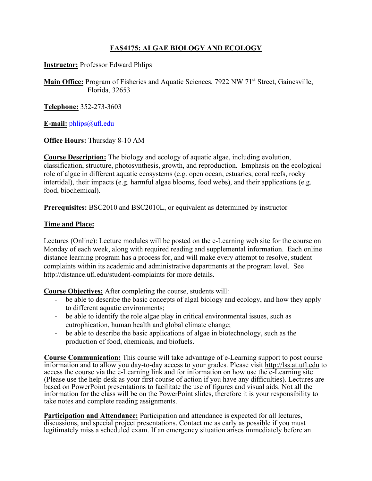## **FAS4175: ALGAE BIOLOGY AND ECOLOGY**

**Instructor:** Professor Edward Phlips

**Main Office:** Program of Fisheries and Aquatic Sciences, 7922 NW 71<sup>st</sup> Street, Gainesville, Florida, 32653

**Telephone:** 352-273-3603

**E-mail:** [phlips@ufl.edu](mailto:phlips@ufl.edu)

**Office Hours:** Thursday 8-10 AM

**Course Description:** The biology and ecology of aquatic algae, including evolution, classification, structure, photosynthesis, growth, and reproduction. Emphasis on the ecological role of algae in different aquatic ecosystems (e.g. open ocean, estuaries, coral reefs, rocky intertidal), their impacts (e.g. harmful algae blooms, food webs), and their applications (e.g. food, biochemical).

**Prerequisites:** BSC2010 and BSC2010L, or equivalent as determined by instructor

## **Time and Place:**

Lectures (Online): Lecture modules will be posted on the e-Learning web site for the course on Monday of each week, along with required reading and supplemental information. Each online distance learning program has a process for, and will make every attempt to resolve, student complaints within its academic and administrative departments at the program level. See <http://distance.ufl.edu/student-complaints> for more details.

**Course Objectives:** After completing the course, students will:

- be able to describe the basic concepts of algal biology and ecology, and how they apply to different aquatic environments;
- be able to identify the role algae play in critical environmental issues, such as eutrophication, human health and global climate change;
- be able to describe the basic applications of algae in biotechnology, such as the production of food, chemicals, and biofuels.

**Course Communication:** This course will take advantage of e-Learning support to post course information and to allow you day-to-day access to your grades. Please visit [http://lss.at.ufl.edu](http://lss.at.ufl.edu/) to access the course via the e-Learning link and for information on how use the e-Learning site (Please use the help desk as your first course of action if you have any difficulties). Lectures are based on PowerPoint presentations to facilitate the use of figures and visual aids. Not all the information for the class will be on the PowerPoint slides, therefore it is your responsibility to take notes and complete reading assignments.

**Participation and Attendance:** Participation and attendance is expected for all lectures, discussions, and special project presentations. Contact me as early as possible if you must legitimately miss a scheduled exam. If an emergency situation arises immediately before an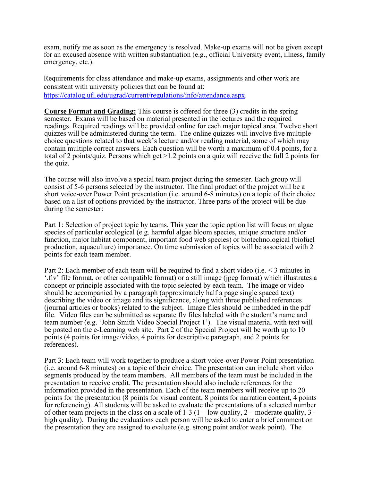exam, notify me as soon as the emergency is resolved. Make-up exams will not be given except for an excused absence with written substantiation (e.g., official University event, illness, family emergency, etc.).

Requirements for class attendance and make-up exams, assignments and other work are consistent with university policies that can be found at: [https://catalog.ufl.edu/ugrad/current/regulations/info/attendance.aspx.](https://catalog.ufl.edu/ugrad/current/regulations/info/attendance.aspx)

**Course Format and Grading:** This course is offered for three (3) credits in the spring semester. Exams will be based on material presented in the lectures and the required readings. Required readings will be provided online for each major topical area. Twelve short quizzes will be administered during the term. The online quizzes will involve five multiple choice questions related to that week's lecture and/or reading material, some of which may contain multiple correct answers. Each question will be worth a maximum of 0.4 points, for a total of 2 points/quiz. Persons which get >1.2 points on a quiz will receive the full 2 points for the quiz.

The course will also involve a special team project during the semester. Each group will consist of 5-6 persons selected by the instructor. The final product of the project will be a short voice-over Power Point presentation (i.e. around 6-8 minutes) on a topic of their choice based on a list of options provided by the instructor. Three parts of the project will be due during the semester:

Part 1: Selection of project topic by teams. This year the topic option list will focus on algae species of particular ecological (e.g. harmful algae bloom species, unique structure and/or function, major habitat component, important food web species) or biotechnological (biofuel production, aquaculture) importance. On time submission of topics will be associated with 2 points for each team member.

Part 2: Each member of each team will be required to find a short video (i.e. < 3 minutes in '.flv' file format, or other compatible format) or a still image (jpeg format) which illustrates a concept or principle associated with the topic selected by each team. The image or video should be accompanied by a paragraph (approximately half a page single spaced text) describing the video or image and its significance, along with three published references (journal articles or books) related to the subject. Image files should be imbedded in the pdf file. Video files can be submitted as separate flv files labeled with the student's name and team number (e.g. 'John Smith Video Special Project 1'). The visual material with text will be posted on the e-Learning web site. Part 2 of the Special Project will be worth up to 10 points (4 points for image/video, 4 points for descriptive paragraph, and 2 points for references).

Part 3: Each team will work together to produce a short voice-over Power Point presentation (i.e. around 6-8 minutes) on a topic of their choice. The presentation can include short video segments produced by the team members. All members of the team must be included in the presentation to receive credit. The presentation should also include references for the information provided in the presentation. Each of the team members will receive up to 20 points for the presentation (8 points for visual content, 8 points for narration content, 4 points for referencing). All students will be asked to evaluate the presentations of a selected number of other team projects in the class on a scale of  $1-3$  ( $1-$ low quality,  $2-$  moderate quality,  $3$ high quality). During the evaluations each person will be asked to enter a brief comment on the presentation they are assigned to evaluate (e.g. strong point and/or weak point). The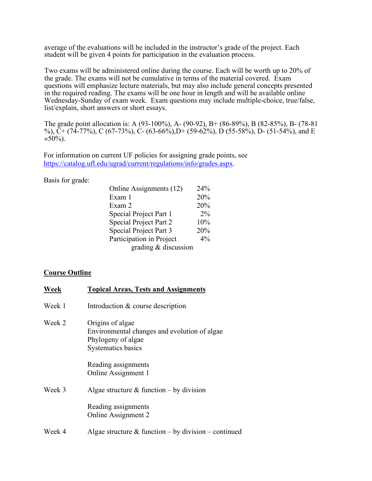average of the evaluations will be included in the instructor's grade of the project. Each student will be given 4 points for participation in the evaluation process.

Two exams will be administered online during the course. Each will be worth up to 20% of the grade. The exams will not be cumulative in terms of the material covered. Exam questions will emphasize lecture materials, but may also include general concepts presented in the required reading. The exams will be one hour in length and will be available online Wednesday-Sunday of exam week. Exam questions may include multiple-choice, true/false, list/explain, short answers or short essays.

The grade point allocation is: A (93-100%), A- (90-92), B+ (86-89%), B (82-85%), B- (78-81 %),  $\tilde{C}$  + (74-77%), C (67-73%), C (63-66%), D (59-62%), D (55-58%), D (51-54%), and E  $\langle 50\% \rangle$ .

For information on current UF policies for assigning grade points, see [https://catalog.ufl.edu/ugrad/current/regulations/info/grades.aspx.](https://catalog.ufl.edu/ugrad/current/regulations/info/grades.aspx)

Basis for grade:

| Online Assignments (12)       | 24%   |
|-------------------------------|-------|
| Exam 1                        | 20%   |
| Exam 2                        | 20%   |
| Special Project Part 1        | $2\%$ |
| <b>Special Project Part 2</b> | 10%   |
| Special Project Part 3        | 20%   |
| Participation in Project      | 4%    |
| grading & discussion          |       |

## **Course Outline**

| Week   | <b>Topical Areas, Tests and Assignments</b>                                                                         |
|--------|---------------------------------------------------------------------------------------------------------------------|
| Week 1 | Introduction & course description                                                                                   |
| Week 2 | Origins of algae<br>Environmental changes and evolution of algae<br>Phylogeny of algae<br><b>Systematics basics</b> |
|        | Reading assignments<br>Online Assignment 1                                                                          |
| Week 3 | Algae structure & function – by division                                                                            |
|        | Reading assignments<br>Online Assignment 2                                                                          |
| Week 4 | Algae structure & function – by division – continued                                                                |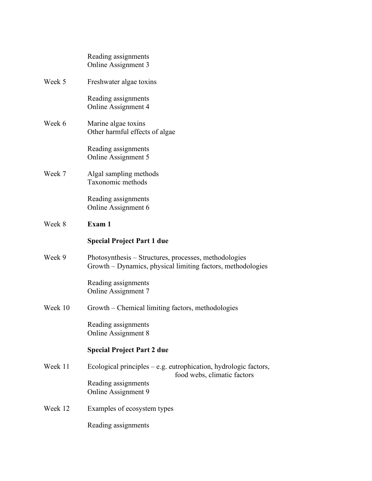|         | Reading assignments<br>Online Assignment 3                                                                           |
|---------|----------------------------------------------------------------------------------------------------------------------|
| Week 5  | Freshwater algae toxins                                                                                              |
|         | Reading assignments<br>Online Assignment 4                                                                           |
| Week 6  | Marine algae toxins<br>Other harmful effects of algae                                                                |
|         | Reading assignments<br>Online Assignment 5                                                                           |
| Week 7  | Algal sampling methods<br>Taxonomic methods                                                                          |
|         | Reading assignments<br>Online Assignment 6                                                                           |
| Week 8  | Exam 1                                                                                                               |
|         | <b>Special Project Part 1 due</b>                                                                                    |
| Week 9  | Photosynthesis – Structures, processes, methodologies<br>Growth – Dynamics, physical limiting factors, methodologies |
|         | Reading assignments<br><b>Online Assignment 7</b>                                                                    |
| Week 10 | Growth – Chemical limiting factors, methodologies                                                                    |
|         | Reading assignments<br>Online Assignment 8                                                                           |
|         | <b>Special Project Part 2 due</b>                                                                                    |
| Week 11 | Ecological principles $-$ e.g. eutrophication, hydrologic factors,<br>food webs, climatic factors                    |
|         | Reading assignments<br>Online Assignment 9                                                                           |
| Week 12 | Examples of ecosystem types                                                                                          |
|         | Reading assignments                                                                                                  |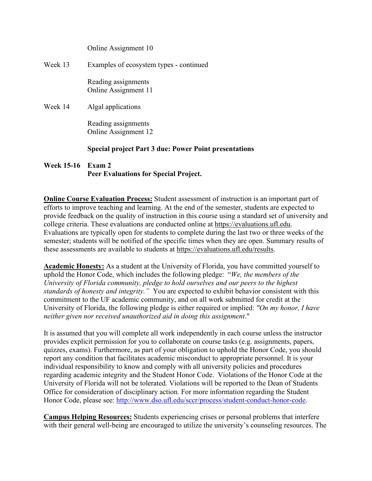|         | Online Assignment 10                                         |
|---------|--------------------------------------------------------------|
| Week 13 | Examples of ecosystem types - continued                      |
|         | Reading assignments<br>Online Assignment 11                  |
| Week 14 | Algal applications                                           |
|         | Reading assignments<br>Online Assignment 12                  |
|         | <b>Special project Part 3 due: Power Point presentations</b> |

## **Week 15-16 Exam 2 Peer Evaluations for Special Project.**

**Online Course Evaluation Process:** Student assessment of instruction is an important part of efforts to improve teaching and learning. At the end of the semester, students are expected to provide feedback on the quality of instruction in this course using a standard set of university and college criteria. These evaluations are conducted online at [https://evaluations.ufl.edu.](https://evaluations.ufl.edu/) Evaluations are typically open for students to complete during the last two or three weeks of the semester; students will be notified of the specific times when they are open. Summary results of these assessments are available to students at [https://evaluations.ufl.edu/results.](https://evaluations.ufl.edu/results)

**Academic Honesty:** As a student at the University of Florida, you have committed yourself to uphold the Honor Code, which includes the following pledge: "*We, the members of the University of Florida community, pledge to hold ourselves and our peers to the highest standards of honesty and integrity."* You are expected to exhibit behavior consistent with this commitment to the UF academic community, and on all work submitted for credit at the University of Florida, the following pledge is either required or implied: *"On my honor, I have neither given nor received unauthorized aid in doing this assignment*."

It is assumed that you will complete all work independently in each course unless the instructor provides explicit permission for you to collaborate on course tasks (e.g. assignments, papers, quizzes, exams). Furthermore, as part of your obligation to uphold the Honor Code, you should report any condition that facilitates academic misconduct to appropriate personnel. It is your individual responsibility to know and comply with all university policies and procedures regarding academic integrity and the Student Honor Code. Violations of the Honor Code at the University of Florida will not be tolerated. Violations will be reported to the Dean of Students Office for consideration of disciplinary action. For more information regarding the Student Honor Code, please see: [http://www.dso.ufl.edu/sccr/process/student-conduct-honor-code.](http://www.dso.ufl.edu/sccr/process/student-conduct-honor-code)

**Campus Helping Resources:** Students experiencing crises or personal problems that interfere with their general well-being are encouraged to utilize the university's counseling resources. The